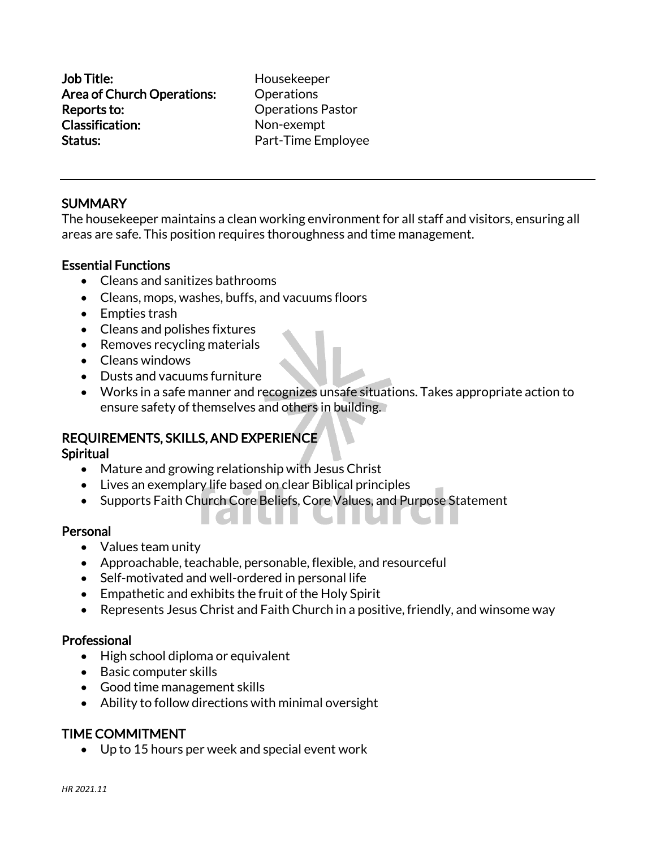Job Title: Housekeeper Area of Church Operations: Operations Reports to: Operations Pastor Classification: Non-exempt Status: Status: **Part-Time Employee** 

## **SUMMARY**

The housekeeper maintains a clean working environment for all staff and visitors, ensuring all areas are safe. This position requires thoroughness and time management.

#### Essential Functions

- Cleans and sanitizes bathrooms
- Cleans, mops, washes, buffs, and vacuums floors
- Empties trash
- Cleans and polishes fixtures
- Removes recycling materials
- Cleans windows
- Dusts and vacuums furniture
- Works in a safe manner and recognizes unsafe situations. Takes appropriate action to ensure safety of themselves and others in building.

## REQUIREMENTS, SKILLS, AND EXPERIENCE

#### Spiritual

- Mature and growing relationship with Jesus Christ
- Lives an exemplary life based on clear Biblical principles
- Supports Faith Church Core Beliefs, Core Values, and Purpose Statement

#### Personal

- Values team unity
- Approachable, teachable, personable, flexible, and resourceful

. . .

- Self-motivated and well-ordered in personal life
- Empathetic and exhibits the fruit of the Holy Spirit
- Represents Jesus Christ and Faith Church in a positive, friendly, and winsome way

#### Professional

- High school diploma or equivalent
- Basic computer skills
- Good time management skills
- Ability to follow directions with minimal oversight

## TIME COMMITMENT

• Up to 15 hours per week and special event work